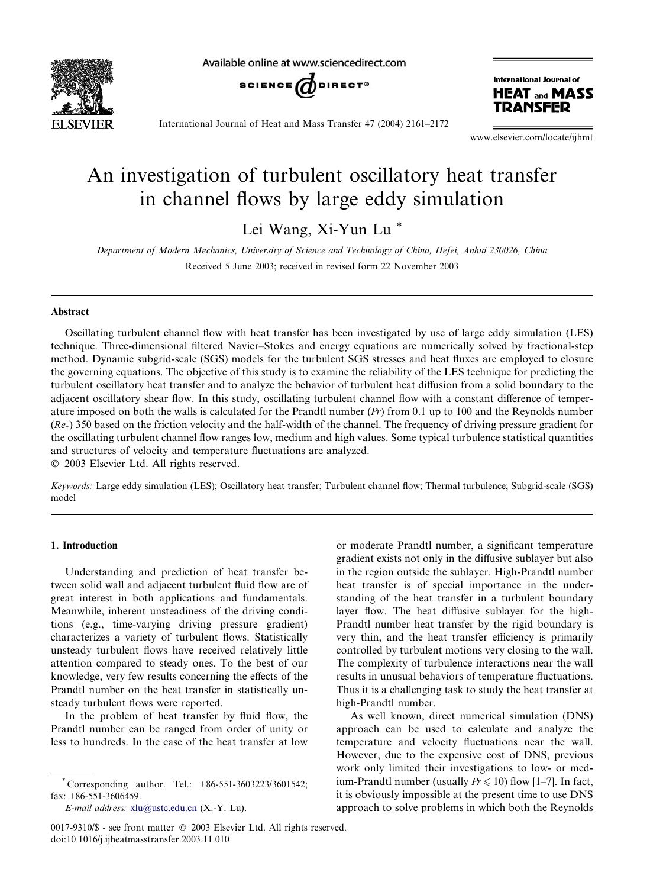

Available online at www.sciencedirect.com



International Journal of Heat and Mass Transfer 47 (2004) 2161–2172

International Journal of **HEAT and MASS** TRANSFER

www.elsevier.com/locate/ijhmt

# An investigation of turbulent oscillatory heat transfer in channel flows by large eddy simulation

Lei Wang, Xi-Yun Lu \*

Department of Modern Mechanics, University of Science and Technology of China, Hefei, Anhui 230026, China Received 5 June 2003; received in revised form 22 November 2003

# Abstract

Oscillating turbulent channel flow with heat transfer has been investigated by use of large eddy simulation (LES) technique. Three-dimensional filtered Navier–Stokes and energy equations are numerically solved by fractional-step method. Dynamic subgrid-scale (SGS) models for the turbulent SGS stresses and heat fluxes are employed to closure the governing equations. The objective of this study is to examine the reliability of the LES technique for predicting the turbulent oscillatory heat transfer and to analyze the behavior of turbulent heat diffusion from a solid boundary to the adjacent oscillatory shear flow. In this study, oscillating turbulent channel flow with a constant difference of temperature imposed on both the walls is calculated for the Prandtl number  $(Pr)$  from 0.1 up to 100 and the Reynolds number  $(Re<sub>r</sub>)$  350 based on the friction velocity and the half-width of the channel. The frequency of driving pressure gradient for the oscillating turbulent channel flow ranges low, medium and high values. Some typical turbulence statistical quantities and structures of velocity and temperature fluctuations are analyzed.

2003 Elsevier Ltd. All rights reserved.

Keywords: Large eddy simulation (LES); Oscillatory heat transfer; Turbulent channel flow; Thermal turbulence; Subgrid-scale (SGS) model

# 1. Introduction

Understanding and prediction of heat transfer between solid wall and adjacent turbulent fluid flow are of great interest in both applications and fundamentals. Meanwhile, inherent unsteadiness of the driving conditions (e.g., time-varying driving pressure gradient) characterizes a variety of turbulent flows. Statistically unsteady turbulent flows have received relatively little attention compared to steady ones. To the best of our knowledge, very few results concerning the effects of the Prandtl number on the heat transfer in statistically unsteady turbulent flows were reported.

In the problem of heat transfer by fluid flow, the Prandtl number can be ranged from order of unity or less to hundreds. In the case of the heat transfer at low

E-mail address: [xlu@ustc.edu.cn](mail to: xlu@ustc.edu.cn) (X.-Y. Lu).

gradient exists not only in the diffusive sublayer but also in the region outside the sublayer. High-Prandtl number heat transfer is of special importance in the understanding of the heat transfer in a turbulent boundary layer flow. The heat diffusive sublayer for the high-Prandtl number heat transfer by the rigid boundary is very thin, and the heat transfer efficiency is primarily controlled by turbulent motions very closing to the wall. The complexity of turbulence interactions near the wall results in unusual behaviors of temperature fluctuations. Thus it is a challenging task to study the heat transfer at high-Prandtl number.

or moderate Prandtl number, a significant temperature

As well known, direct numerical simulation (DNS) approach can be used to calculate and analyze the temperature and velocity fluctuations near the wall. However, due to the expensive cost of DNS, previous work only limited their investigations to low- or medium-Prandtl number (usually  $Pr \le 10$ ) flow [1–7]. In fact, it is obviously impossible at the present time to use DNS approach to solve problems in which both the Reynolds

<sup>\*</sup> Corresponding author. Tel.: +86-551-3603223/3601542; fax: +86-551-3606459.

<sup>0017-9310/\$ -</sup> see front matter © 2003 Elsevier Ltd. All rights reserved. doi:10.1016/j.ijheatmasstransfer.2003.11.010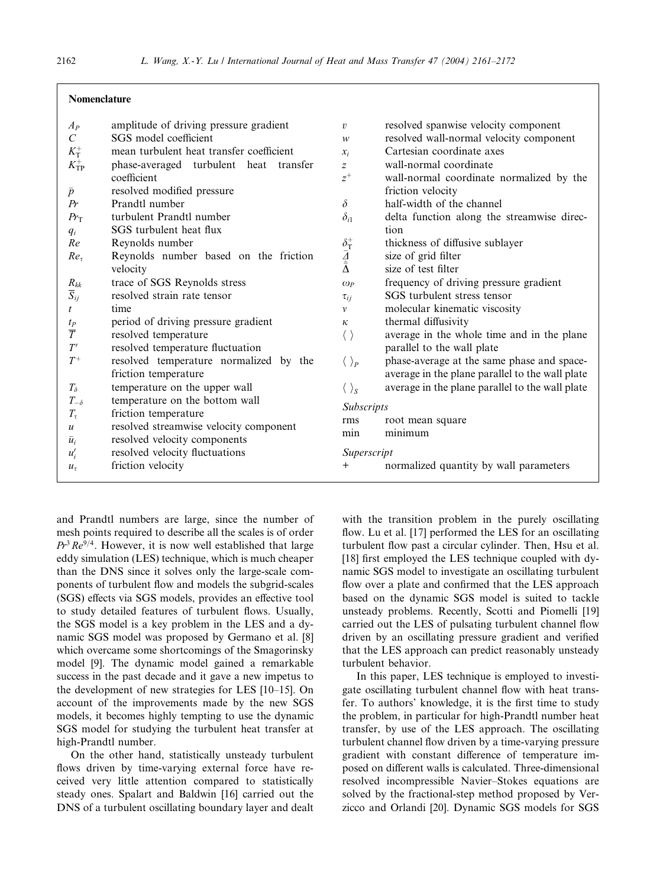| Nomenclature        |                                          |                                              |                                                 |
|---------------------|------------------------------------------|----------------------------------------------|-------------------------------------------------|
| $A_P$               | amplitude of driving pressure gradient   | $\boldsymbol{v}$                             | resolved spanwise velocity component            |
| $\overline{C}$      | SGS model coefficient                    | w                                            | resolved wall-normal velocity component         |
| $K_{\rm T}^+$       | mean turbulent heat transfer coefficient | $\mathcal{X}_i$                              | Cartesian coordinate axes                       |
| $K_{\rm TP}^+$      | phase-averaged turbulent heat transfer   | z                                            | wall-normal coordinate                          |
|                     | coefficient                              | $z^+$                                        | wall-normal coordinate normalized by the        |
| $\bar{p}$           | resolved modified pressure               |                                              | friction velocity                               |
| Pr                  | Prandtl number                           | $\delta$                                     | half-width of the channel                       |
| $Pr_{\rm T}$        | turbulent Prandtl number                 | $\delta_{i1}$                                | delta function along the streamwise direc-      |
| $q_i$               | SGS turbulent heat flux                  |                                              | tion                                            |
| Re                  | Reynolds number                          |                                              | thickness of diffusive sublayer                 |
| $Re_{\tau}$         | Reynolds number based on the friction    |                                              | size of grid filter                             |
|                     | velocity                                 | $\frac{\delta^+_{\rm T}}{\bar{\mathcal{A}}}$ | size of test filter                             |
| $R_{kk}$            | trace of SGS Reynolds stress             | $\omega_P$                                   | frequency of driving pressure gradient          |
| $\overline{S}_{ij}$ | resolved strain rate tensor              | $\tau_{ij}$                                  | SGS turbulent stress tensor                     |
|                     | time                                     | v                                            | molecular kinematic viscosity                   |
| $t_{P}$             | period of driving pressure gradient      | к                                            | thermal diffusivity                             |
| $\overline{T}$      | resolved temperature                     | $\langle \ \rangle$                          | average in the whole time and in the plane      |
| T'                  | resolved temperature fluctuation         |                                              | parallel to the wall plate                      |
| $T^+$               | resolved temperature normalized by the   | $\langle \ \rangle_P$                        | phase-average at the same phase and space-      |
|                     | friction temperature                     |                                              | average in the plane parallel to the wall plate |
| $T_{\delta}$        | temperature on the upper wall            | $\langle \ \rangle_{S}$                      | average in the plane parallel to the wall plate |
| $T_{-\delta}$       | temperature on the bottom wall           | Subscripts                                   |                                                 |
| $T_{\tau}$          | friction temperature                     |                                              |                                                 |
| $\boldsymbol{u}$    | resolved streamwise velocity component   | rms<br>min                                   | root mean square<br>minimum                     |
| $\bar{u}_i$         | resolved velocity components             |                                              |                                                 |
| $u_i'$              | resolved velocity fluctuations           | Superscript                                  |                                                 |
| $u_{\tau}$          | friction velocity                        |                                              | normalized quantity by wall parameters          |
|                     |                                          |                                              |                                                 |

and Prandtl numbers are large, since the number of mesh points required to describe all the scales is of order  $Pr<sup>3</sup> Re<sup>9/4</sup>$ . However, it is now well established that large eddy simulation (LES) technique, which is much cheaper than the DNS since it solves only the large-scale components of turbulent flow and models the subgrid-scales (SGS) effects via SGS models, provides an effective tool to study detailed features of turbulent flows. Usually, the SGS model is a key problem in the LES and a dynamic SGS model was proposed by Germano et al. [8] which overcame some shortcomings of the Smagorinsky model [9]. The dynamic model gained a remarkable success in the past decade and it gave a new impetus to the development of new strategies for LES [10–15]. On account of the improvements made by the new SGS models, it becomes highly tempting to use the dynamic SGS model for studying the turbulent heat transfer at high-Prandtl number.

On the other hand, statistically unsteady turbulent flows driven by time-varying external force have received very little attention compared to statistically steady ones. Spalart and Baldwin [16] carried out the DNS of a turbulent oscillating boundary layer and dealt with the transition problem in the purely oscillating flow. Lu et al. [17] performed the LES for an oscillating turbulent flow past a circular cylinder. Then, Hsu et al. [18] first employed the LES technique coupled with dynamic SGS model to investigate an oscillating turbulent flow over a plate and confirmed that the LES approach based on the dynamic SGS model is suited to tackle unsteady problems. Recently, Scotti and Piomelli [19] carried out the LES of pulsating turbulent channel flow driven by an oscillating pressure gradient and verified that the LES approach can predict reasonably unsteady turbulent behavior.

In this paper, LES technique is employed to investigate oscillating turbulent channel flow with heat transfer. To authors' knowledge, it is the first time to study the problem, in particular for high-Prandtl number heat transfer, by use of the LES approach. The oscillating turbulent channel flow driven by a time-varying pressure gradient with constant difference of temperature imposed on different walls is calculated. Three-dimensional resolved incompressible Navier–Stokes equations are solved by the fractional-step method proposed by Verzicco and Orlandi [20]. Dynamic SGS models for SGS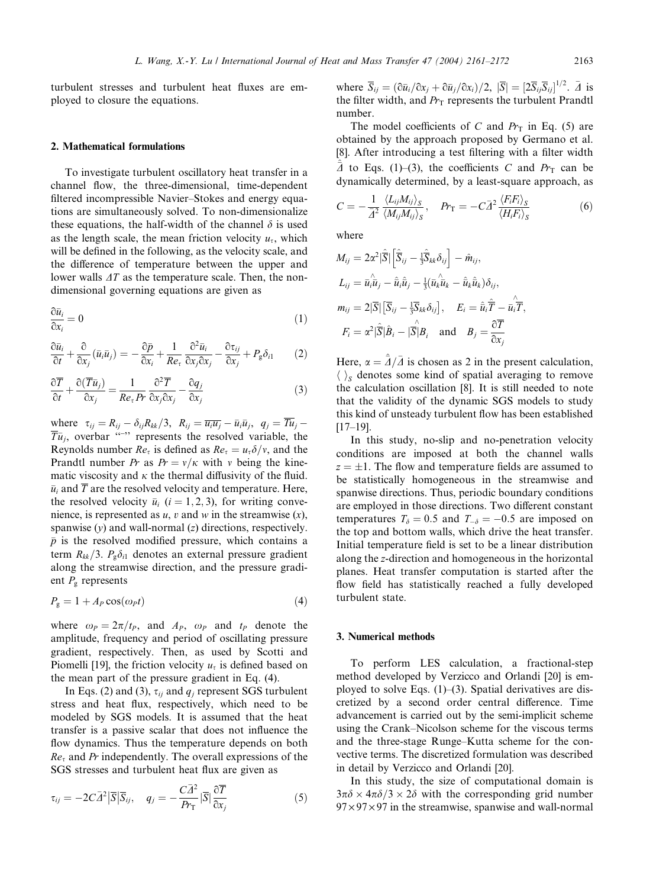turbulent stresses and turbulent heat fluxes are employed to closure the equations.

## 2. Mathematical formulations

To investigate turbulent oscillatory heat transfer in a channel flow, the three-dimensional, time-dependent filtered incompressible Navier–Stokes and energy equations are simultaneously solved. To non-dimensionalize these equations, the half-width of the channel  $\delta$  is used as the length scale, the mean friction velocity  $u_{\tau}$ , which will be defined in the following, as the velocity scale, and the difference of temperature between the upper and lower walls  $\Delta T$  as the temperature scale. Then, the nondimensional governing equations are given as

$$
\frac{\partial \bar{u}_i}{\partial x_i} = 0 \tag{1}
$$

$$
\frac{\partial \bar{u}_i}{\partial t} + \frac{\partial}{\partial x_j} (\bar{u}_i \bar{u}_j) = -\frac{\partial \bar{p}}{\partial x_i} + \frac{1}{Re_\tau} \frac{\partial^2 \bar{u}_i}{\partial x_j \partial x_j} - \frac{\partial \tau_{ij}}{\partial x_j} + P_g \delta_{i1} \tag{2}
$$

$$
\frac{\partial \overline{T}}{\partial t} + \frac{\partial (\overline{T} \overline{u}_j)}{\partial x_j} = \frac{1}{Re_{\tau} Pr} \frac{\partial^2 \overline{T}}{\partial x_j \partial x_j} - \frac{\partial q_j}{\partial x_j}
$$
(3)

where  $\tau_{ij} = R_{ij} - \delta_{ij}R_{kk}/3$ ,  $R_{ij} = \overline{u_i u_j} - \overline{u_i} \overline{u_j}$ ,  $q_j = \overline{u_j} - \overline{u_j}$  $\overline{T}u_i$ , overbar "<sup>--</sup>" represents the resolved variable, the Reynolds number  $Re_\tau$  is defined as  $Re_\tau = u_\tau \delta/v$ , and the Prandtl number Pr as  $Pr = v/\kappa$  with v being the kinematic viscosity and  $\kappa$  the thermal diffusivity of the fluid.  $\bar{u}_i$  and  $\bar{T}$  are the resolved velocity and temperature. Here, the resolved velocity  $\bar{u}_i$  ( $i = 1, 2, 3$ ), for writing convenience, is represented as  $u$ ,  $v$  and  $w$  in the streamwise  $(x)$ , spanwise  $(y)$  and wall-normal  $(z)$  directions, respectively.  $\bar{p}$  is the resolved modified pressure, which contains a term  $R_{kk}/3$ .  $P_g\delta_{i1}$  denotes an external pressure gradient along the streamwise direction, and the pressure gradient  $P_g$  represents

$$
P_{g} = 1 + A_{P} \cos(\omega_{P} t) \tag{4}
$$

where  $\omega_P = 2\pi / t_P$ , and  $A_P$ ,  $\omega_P$  and  $t_P$  denote the amplitude, frequency and period of oscillating pressure gradient, respectively. Then, as used by Scotti and Piomelli [19], the friction velocity  $u<sub>\tau</sub>$  is defined based on the mean part of the pressure gradient in Eq. (4).

In Eqs. (2) and (3),  $\tau_{ii}$  and  $q_i$  represent SGS turbulent stress and heat flux, respectively, which need to be modeled by SGS models. It is assumed that the heat transfer is a passive scalar that does not influence the flow dynamics. Thus the temperature depends on both  $Re<sub>z</sub>$  and Pr independently. The overall expressions of the SGS stresses and turbulent heat flux are given as

$$
\tau_{ij} = -2C\overline{A}^2 |\overline{S}|\overline{S}_{ij}, \quad q_j = -\frac{C\overline{A}^2}{Pr_{\rm T}} |\overline{S}|\frac{\partial \overline{T}}{\partial x_j}
$$
(5)

where  $\overline{S}_{ij} = (\partial \overline{u}_i / \partial x_j + \partial \overline{u}_j / \partial x_i)/2, |\overline{S}| = [2\overline{S}_{ij}\overline{S}_{ij}]^{1/2}$ .  $\overline{\Delta}$  is the filter width, and  $Pr<sub>T</sub>$  represents the turbulent Prandtl number.

The model coefficients of C and  $Pr<sub>T</sub>$  in Eq. (5) are obtained by the approach proposed by Germano et al. [8]. After introducing a test filtering with a filter width  $\hat{\bar{A}}$  to Eqs. (1)–(3), the coefficients C and Pr<sub>T</sub> can be dynamically determined, by a least-square approach, as

$$
C = -\frac{1}{\bar{A}^2} \frac{\langle L_{ij} M_{ij} \rangle_S}{\langle M_{ij} M_{ij} \rangle_S}, \quad Pr_{\rm T} = -C\bar{A}^2 \frac{\langle F_i F_i \rangle_S}{\langle H_i F_i \rangle_S} \tag{6}
$$

where

$$
M_{ij} = 2\alpha^2 |\hat{\overline{S}}| \left[ \hat{\overline{S}}_{ij} - \frac{1}{3} \hat{\overline{S}}_{kk} \delta_{ij} \right] - \hat{m}_{ij},
$$
  
\n
$$
L_{ij} = \overline{u}_i \overline{u}_j - \hat{u}_i \hat{\overline{u}}_j - \frac{1}{3} (\overline{u}_k \overline{\hat{u}}_k - \hat{u}_k \hat{u}_k) \delta_{ij},
$$
  
\n
$$
m_{ij} = 2|\overline{S}| \left[ \overline{S}_{ij} - \frac{1}{3} \overline{S}_{kk} \delta_{ij} \right], \quad E_i = \hat{u}_i \hat{\overline{T}} - \overline{u}_i \hat{\overline{T}},
$$
  
\n
$$
F_i = \alpha^2 |\hat{\overline{S}}| \hat{B}_i - |\overline{S}| B_i \quad \text{and} \quad B_j = \frac{\partial \overline{T}}{\partial x_j}
$$

Here,  $\alpha = \hat{\bar{A}}/\bar{A}$  is chosen as 2 in the present calculation,  $\langle \ \rangle_{\mathcal{S}}$  denotes some kind of spatial averaging to remove the calculation oscillation [8]. It is still needed to note that the validity of the dynamic SGS models to study this kind of unsteady turbulent flow has been established [17–19].

In this study, no-slip and no-penetration velocity conditions are imposed at both the channel walls  $z = \pm 1$ . The flow and temperature fields are assumed to be statistically homogeneous in the streamwise and spanwise directions. Thus, periodic boundary conditions are employed in those directions. Two different constant temperatures  $T_{\delta} = 0.5$  and  $T_{-\delta} = -0.5$  are imposed on the top and bottom walls, which drive the heat transfer. Initial temperature field is set to be a linear distribution along the z-direction and homogeneous in the horizontal planes. Heat transfer computation is started after the flow field has statistically reached a fully developed turbulent state.

#### 3. Numerical methods

To perform LES calculation, a fractional-step method developed by Verzicco and Orlandi [20] is employed to solve Eqs.  $(1)$ – $(3)$ . Spatial derivatives are discretized by a second order central difference. Time advancement is carried out by the semi-implicit scheme using the Crank–Nicolson scheme for the viscous terms and the three-stage Runge–Kutta scheme for the convective terms. The discretized formulation was described in detail by Verzicco and Orlandi [20].

In this study, the size of computational domain is  $3\pi\delta \times 4\pi\delta/3 \times 2\delta$  with the corresponding grid number  $97 \times 97 \times 97$  in the streamwise, spanwise and wall-normal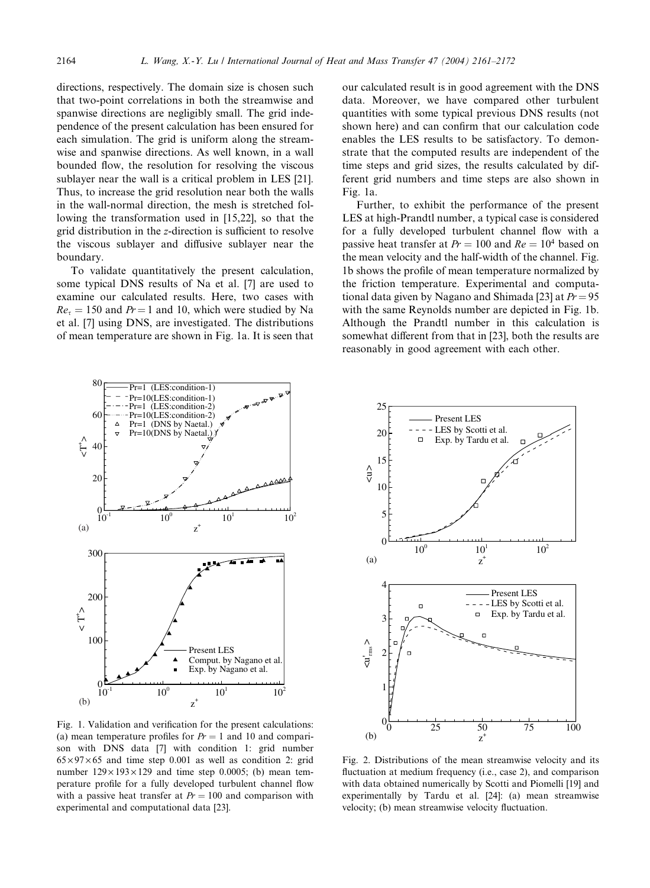directions, respectively. The domain size is chosen such that two-point correlations in both the streamwise and spanwise directions are negligibly small. The grid independence of the present calculation has been ensured for each simulation. The grid is uniform along the streamwise and spanwise directions. As well known, in a wall bounded flow, the resolution for resolving the viscous sublayer near the wall is a critical problem in LES [21]. Thus, to increase the grid resolution near both the walls in the wall-normal direction, the mesh is stretched following the transformation used in [15,22], so that the grid distribution in the z-direction is sufficient to resolve the viscous sublayer and diffusive sublayer near the boundary.

To validate quantitatively the present calculation, some typical DNS results of Na et al. [7] are used to examine our calculated results. Here, two cases with  $Re<sub>z</sub> = 150$  and  $Pr = 1$  and 10, which were studied by Na et al. [7] using DNS, are investigated. The distributions of mean temperature are shown in Fig. 1a. It is seen that our calculated result is in good agreement with the DNS data. Moreover, we have compared other turbulent quantities with some typical previous DNS results (not shown here) and can confirm that our calculation code enables the LES results to be satisfactory. To demonstrate that the computed results are independent of the time steps and grid sizes, the results calculated by different grid numbers and time steps are also shown in Fig. 1a.

Further, to exhibit the performance of the present LES at high-Prandtl number, a typical case is considered for a fully developed turbulent channel flow with a passive heat transfer at  $Pr = 100$  and  $Re = 10<sup>4</sup>$  based on the mean velocity and the half-width of the channel. Fig. 1b shows the profile of mean temperature normalized by the friction temperature. Experimental and computational data given by Nagano and Shimada [23] at  $Pr = 95$ with the same Reynolds number are depicted in Fig. 1b. Although the Prandtl number in this calculation is somewhat different from that in [23], both the results are reasonably in good agreement with each other.



Fig. 1. Validation and verification for the present calculations: (a) mean temperature profiles for  $Pr = 1$  and 10 and comparison with DNS data [7] with condition 1: grid number  $65 \times 97 \times 65$  and time step 0.001 as well as condition 2: grid number  $129 \times 193 \times 129$  and time step 0.0005; (b) mean temperature profile for a fully developed turbulent channel flow with a passive heat transfer at  $Pr = 100$  and comparison with experimental and computational data [23].



Fig. 2. Distributions of the mean streamwise velocity and its fluctuation at medium frequency (i.e., case 2), and comparison with data obtained numerically by Scotti and Piomelli [19] and experimentally by Tardu et al. [24]: (a) mean streamwise velocity; (b) mean streamwise velocity fluctuation.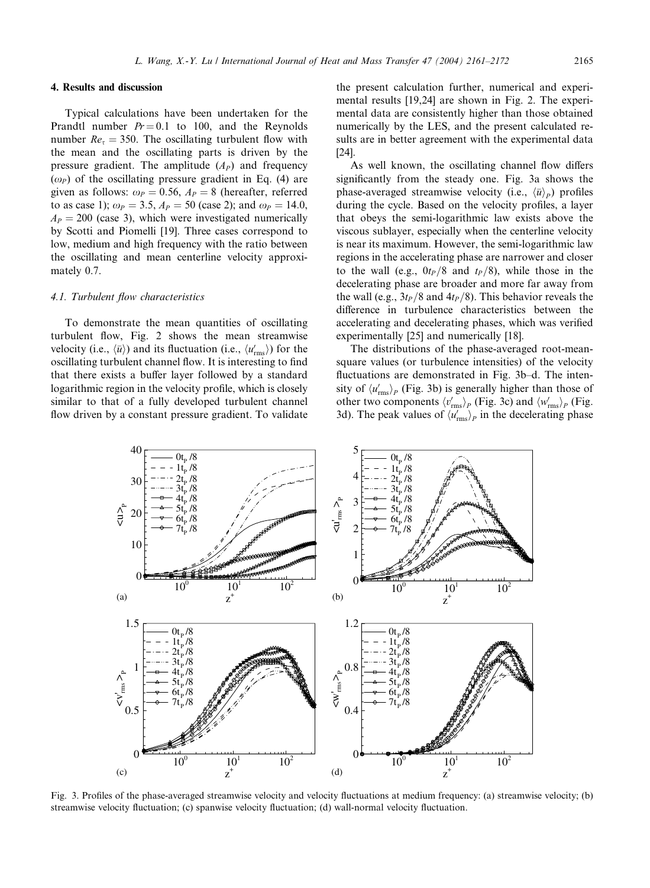## 4. Results and discussion

Typical calculations have been undertaken for the Prandtl number  $Pr = 0.1$  to 100, and the Reynolds number  $Re<sub>z</sub> = 350$ . The oscillating turbulent flow with the mean and the oscillating parts is driven by the pressure gradient. The amplitude  $(A<sub>P</sub>)$  and frequency  $(\omega_P)$  of the oscillating pressure gradient in Eq. (4) are given as follows:  $\omega_P = 0.56$ ,  $A_P = 8$  (hereafter, referred to as case 1);  $\omega_P = 3.5$ ,  $A_P = 50$  (case 2); and  $\omega_P = 14.0$ ,  $A_P = 200$  (case 3), which were investigated numerically by Scotti and Piomelli [19]. Three cases correspond to low, medium and high frequency with the ratio between the oscillating and mean centerline velocity approximately 0.7.

## 4.1. Turbulent flow characteristics

To demonstrate the mean quantities of oscillating turbulent flow, Fig. 2 shows the mean streamwise velocity (i.e.,  $\langle \bar{u} \rangle$ ) and its fluctuation (i.e.,  $\langle u'_{\text{rms}} \rangle$ ) for the oscillating turbulent channel flow. It is interesting to find that there exists a buffer layer followed by a standard logarithmic region in the velocity profile, which is closely similar to that of a fully developed turbulent channel flow driven by a constant pressure gradient. To validate the present calculation further, numerical and experimental results [19,24] are shown in Fig. 2. The experimental data are consistently higher than those obtained numerically by the LES, and the present calculated results are in better agreement with the experimental data [24].

As well known, the oscillating channel flow differs significantly from the steady one. Fig. 3a shows the phase-averaged streamwise velocity (i.e.,  $\langle \bar{u} \rangle_p$ ) profiles during the cycle. Based on the velocity profiles, a layer that obeys the semi-logarithmic law exists above the viscous sublayer, especially when the centerline velocity is near its maximum. However, the semi-logarithmic law regions in the accelerating phase are narrower and closer to the wall (e.g.,  $0t_P/8$  and  $t_P/8$ ), while those in the decelerating phase are broader and more far away from the wall (e.g.,  $3t_P/8$  and  $4t_P/8$ ). This behavior reveals the difference in turbulence characteristics between the accelerating and decelerating phases, which was verified experimentally [25] and numerically [18].

The distributions of the phase-averaged root-meansquare values (or turbulence intensities) of the velocity fluctuations are demonstrated in Fig. 3b–d. The intensity of  $\langle u'_{\text{rms}}\rangle$  (Fig. 3b) is generally higher than those of other two components  $\langle v'_{\text{rms}}\rangle_P$  (Fig. 3c) and  $\langle w'_{\text{rms}}\rangle_P$  (Fig. 3d). The peak values of  $\langle u'_{\text{rms}}\rangle_P$  in the decelerating phase



Fig. 3. Profiles of the phase-averaged streamwise velocity and velocity fluctuations at medium frequency: (a) streamwise velocity; (b) streamwise velocity fluctuation; (c) spanwise velocity fluctuation; (d) wall-normal velocity fluctuation.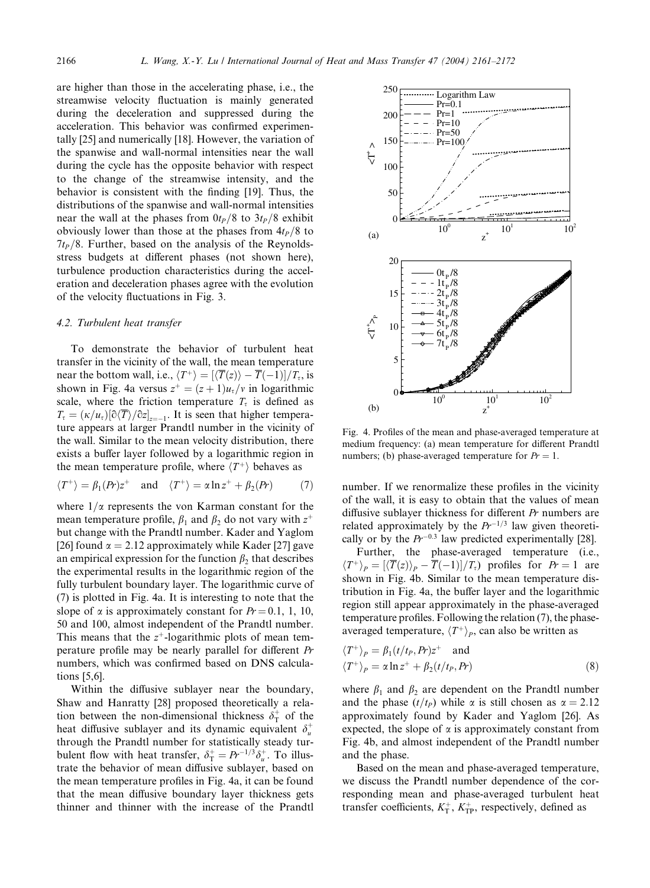are higher than those in the accelerating phase, i.e., the streamwise velocity fluctuation is mainly generated during the deceleration and suppressed during the acceleration. This behavior was confirmed experimentally [25] and numerically [18]. However, the variation of the spanwise and wall-normal intensities near the wall during the cycle has the opposite behavior with respect to the change of the streamwise intensity, and the behavior is consistent with the finding [19]. Thus, the distributions of the spanwise and wall-normal intensities near the wall at the phases from  $0t_P/8$  to  $3t_P/8$  exhibit obviously lower than those at the phases from  $4t_P/8$  to  $7t_P/8$ . Further, based on the analysis of the Reynoldsstress budgets at different phases (not shown here), turbulence production characteristics during the acceleration and deceleration phases agree with the evolution of the velocity fluctuations in Fig. 3.

#### 4.2. Turbulent heat transfer

To demonstrate the behavior of turbulent heat transfer in the vicinity of the wall, the mean temperature near the bottom wall, i.e.,  $\langle T^+ \rangle = [\langle \overline{T}(z) \rangle - \overline{T}(-1)]/T_{\tau}$ , is shown in Fig. 4a versus  $z^+ = (z+1)u_z/v$  in logarithmic scale, where the friction temperature  $T<sub>z</sub>$  is defined as  $T_{\tau} = (\kappa/u_{\tau}) [\partial \langle \overline{T} \rangle / \partial z]_{z=-1}$ . It is seen that higher temperature appears at larger Prandtl number in the vicinity of the wall. Similar to the mean velocity distribution, there exists a buffer layer followed by a logarithmic region in the mean temperature profile, where  $\langle T^+ \rangle$  behaves as

$$
\langle T^{+} \rangle = \beta_1 (Pr) z^{+} \quad \text{and} \quad \langle T^{+} \rangle = \alpha \ln z^{+} + \beta_2 (Pr) \tag{7}
$$

where  $1/\alpha$  represents the von Karman constant for the mean temperature profile,  $\beta_1$  and  $\beta_2$  do not vary with  $z^+$ but change with the Prandtl number. Kader and Yaglom [26] found  $\alpha = 2.12$  approximately while Kader [27] gave an empirical expression for the function  $\beta_2$  that describes the experimental results in the logarithmic region of the fully turbulent boundary layer. The logarithmic curve of (7) is plotted in Fig. 4a. It is interesting to note that the slope of  $\alpha$  is approximately constant for  $Pr = 0.1, 1, 10$ , 50 and 100, almost independent of the Prandtl number. This means that the  $z^+$ -logarithmic plots of mean temperature profile may be nearly parallel for different Pr numbers, which was confirmed based on DNS calculations [5,6].

Within the diffusive sublayer near the boundary, Shaw and Hanratty [28] proposed theoretically a relation between the non-dimensional thickness  $\delta_{\rm T}^+$  of the heat diffusive sublayer and its dynamic equivalent  $\delta_u^+$ through the Prandtl number for statistically steady turbulent flow with heat transfer,  $\delta_{\rm T}^+ = Pr^{-1/3} \delta_u^+$ . To illustrate the behavior of mean diffusive sublayer, based on the mean temperature profiles in Fig. 4a, it can be found that the mean diffusive boundary layer thickness gets thinner and thinner with the increase of the Prandtl



Fig. 4. Profiles of the mean and phase-averaged temperature at medium frequency: (a) mean temperature for different Prandtl numbers; (b) phase-averaged temperature for  $Pr = 1$ .

number. If we renormalize these profiles in the vicinity of the wall, it is easy to obtain that the values of mean diffusive sublayer thickness for different Pr numbers are related approximately by the  $Pr^{-1/3}$  law given theoretically or by the  $Pr^{-0.3}$  law predicted experimentally [28].

Further, the phase-averaged temperature (i.e.,  $\langle T^{+} \rangle_{P} = [\langle \overline{T}(z) \rangle_{P} - \overline{T}(-1)]/T_{\tau}$  profiles for  $Pr = 1$  are shown in Fig. 4b. Similar to the mean temperature distribution in Fig. 4a, the buffer layer and the logarithmic region still appear approximately in the phase-averaged temperature profiles. Following the relation (7), the phaseaveraged temperature,  $\langle T^+ \rangle_P$ , can also be written as

$$
\langle T^{+} \rangle_{P} = \beta_{1}(t/t_{P}, Pr)z^{+} \text{ and}
$$
  

$$
\langle T^{+} \rangle_{P} = \alpha \ln z^{+} + \beta_{2}(t/t_{P}, Pr)
$$
 (8)

where  $\beta_1$  and  $\beta_2$  are dependent on the Prandtl number and the phase  $(t/t_P )$  while  $\alpha$  is still chosen as  $\alpha = 2.12$ approximately found by Kader and Yaglom [26]. As expected, the slope of  $\alpha$  is approximately constant from Fig. 4b, and almost independent of the Prandtl number and the phase.

Based on the mean and phase-averaged temperature, we discuss the Prandtl number dependence of the corresponding mean and phase-averaged turbulent heat transfer coefficients,  $K_{\rm T}^+$ ,  $K_{\rm TP}^+$ , respectively, defined as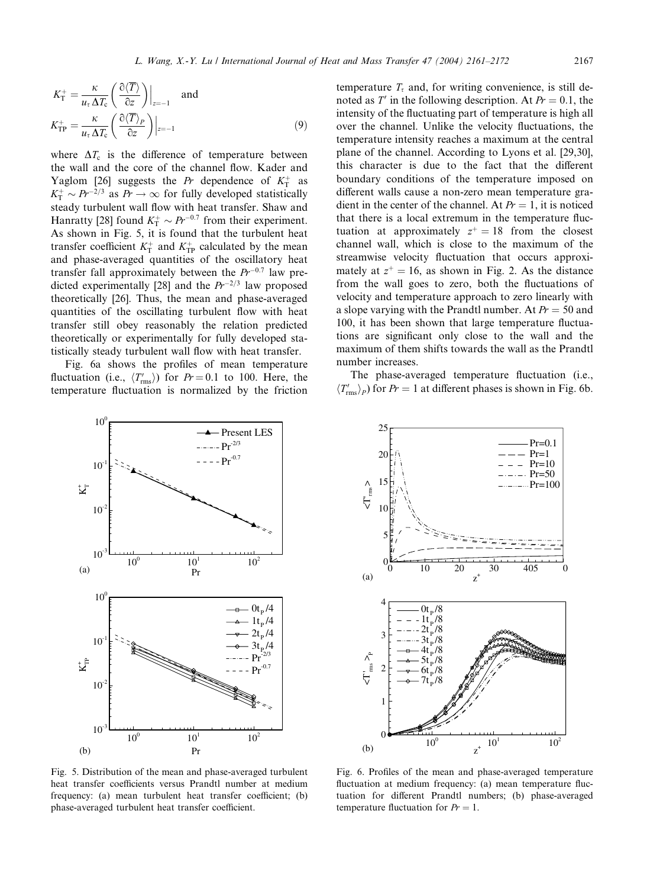$$
K_{\rm T}^{+} = \frac{\kappa}{u_{\rm t} \Delta T_{\rm c}} \left( \frac{\partial \langle \overline{T} \rangle}{\partial z} \right) \Big|_{z=-1} \quad \text{and}
$$
  

$$
K_{\rm TP}^{+} = \frac{\kappa}{u_{\rm t} \Delta T_{\rm c}} \left( \frac{\partial \langle \overline{T} \rangle_{P}}{\partial z} \right) \Big|_{z=-1} \tag{9}
$$

where  $\Delta T_c$  is the difference of temperature between the wall and the core of the channel flow. Kader and Yaglom [26] suggests the *Pr* dependence of  $K_T^+$  as  $K_{\rm T}^+ \sim Pr^{-2/3}$  as  $Pr \to \infty$  for fully developed statistically steady turbulent wall flow with heat transfer. Shaw and Hanratty [28] found  $K_{\rm T}^+ \sim Pr^{-0.7}$  from their experiment. As shown in Fig. 5, it is found that the turbulent heat transfer coefficient  $K_T^+$  and  $K_{TP}^+$  calculated by the mean and phase-averaged quantities of the oscillatory heat transfer fall approximately between the  $Pr^{-0.7}$  law predicted experimentally [28] and the  $Pr^{-2/3}$  law proposed theoretically [26]. Thus, the mean and phase-averaged quantities of the oscillating turbulent flow with heat transfer still obey reasonably the relation predicted theoretically or experimentally for fully developed statistically steady turbulent wall flow with heat transfer.

Fig. 6a shows the profiles of mean temperature fluctuation (i.e.,  $\langle T'_{\rm rms} \rangle$ ) for  $Pr = 0.1$  to 100. Here, the temperature fluctuation is normalized by the friction



Fig. 5. Distribution of the mean and phase-averaged turbulent heat transfer coefficients versus Prandtl number at medium frequency: (a) mean turbulent heat transfer coefficient; (b) phase-averaged turbulent heat transfer coefficient.

temperature  $T<sub>z</sub>$  and, for writing convenience, is still denoted as T' in the following description. At  $Pr = 0.1$ , the intensity of the fluctuating part of temperature is high all over the channel. Unlike the velocity fluctuations, the temperature intensity reaches a maximum at the central plane of the channel. According to Lyons et al. [29,30], this character is due to the fact that the different boundary conditions of the temperature imposed on different walls cause a non-zero mean temperature gradient in the center of the channel. At  $Pr = 1$ , it is noticed that there is a local extremum in the temperature fluctuation at approximately  $z^+=18$  from the closest channel wall, which is close to the maximum of the streamwise velocity fluctuation that occurs approximately at  $z^+=16$ , as shown in Fig. 2. As the distance from the wall goes to zero, both the fluctuations of velocity and temperature approach to zero linearly with a slope varying with the Prandtl number. At  $Pr = 50$  and 100, it has been shown that large temperature fluctuations are significant only close to the wall and the maximum of them shifts towards the wall as the Prandtl number increases.

The phase-averaged temperature fluctuation (i.e.,  $\langle T'_{\text{rms}}\rangle_P$ ) for  $Pr = 1$  at different phases is shown in Fig. 6b.



Fig. 6. Profiles of the mean and phase-averaged temperature fluctuation at medium frequency: (a) mean temperature fluctuation for different Prandtl numbers; (b) phase-averaged temperature fluctuation for  $Pr = 1$ .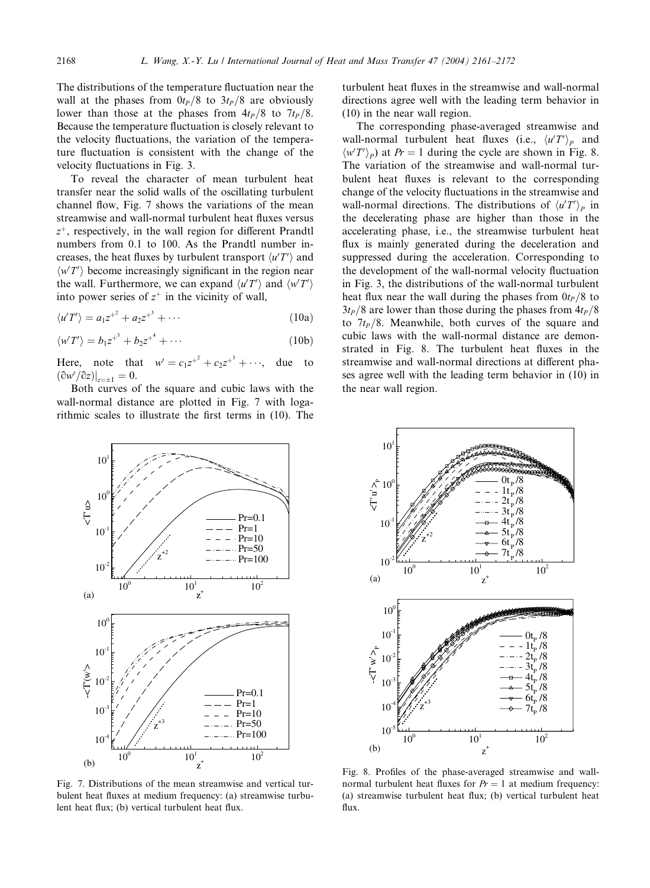The distributions of the temperature fluctuation near the wall at the phases from  $0t_P/8$  to  $3t_P/8$  are obviously lower than those at the phases from  $4t_P/8$  to  $7t_P/8$ . Because the temperature fluctuation is closely relevant to the velocity fluctuations, the variation of the temperature fluctuation is consistent with the change of the velocity fluctuations in Fig. 3.

To reveal the character of mean turbulent heat transfer near the solid walls of the oscillating turbulent channel flow, Fig. 7 shows the variations of the mean streamwise and wall-normal turbulent heat fluxes versus  $z^+$ , respectively, in the wall region for different Prandtl numbers from 0.1 to 100. As the Prandtl number increases, the heat fluxes by turbulent transport  $\langle u'T' \rangle$  and  $\langle w' T' \rangle$  become increasingly significant in the region near the wall. Furthermore, we can expand  $\langle u'T' \rangle$  and  $\langle w'T' \rangle$ into power series of  $z^+$  in the vicinity of wall,

$$
\langle u'T'\rangle = a_1 z^{2^2} + a_2 z^{3^2} + \cdots \tag{10a}
$$

$$
\langle w'T'\rangle = b_1 z^{+^3} + b_2 z^{+^4} + \cdots \tag{10b}
$$

Here, note that  $w' = c_1 z^{2} + c_2 z^{3} + \cdots$ , due to  $(\partial w'/\partial z)|_{z=\pm 1} = 0.$ 

Both curves of the square and cubic laws with the wall-normal distance are plotted in Fig. 7 with logarithmic scales to illustrate the first terms in (10). The



Fig. 7. Distributions of the mean streamwise and vertical turbulent heat fluxes at medium frequency: (a) streamwise turbulent heat flux; (b) vertical turbulent heat flux.

turbulent heat fluxes in the streamwise and wall-normal directions agree well with the leading term behavior in (10) in the near wall region.

The corresponding phase-averaged streamwise and wall-normal turbulent heat fluxes (i.e.,  $\langle u'T' \rangle_P$  and  $\langle w'T'\rangle_P$ ) at Pr = 1 during the cycle are shown in Fig. 8. The variation of the streamwise and wall-normal turbulent heat fluxes is relevant to the corresponding change of the velocity fluctuations in the streamwise and wall-normal directions. The distributions of  $\langle u/T' \rangle_P$  in the decelerating phase are higher than those in the accelerating phase, i.e., the streamwise turbulent heat flux is mainly generated during the deceleration and suppressed during the acceleration. Corresponding to the development of the wall-normal velocity fluctuation in Fig. 3, the distributions of the wall-normal turbulent heat flux near the wall during the phases from  $0t_P/8$  to  $3t_P/8$  are lower than those during the phases from  $4t_P/8$ to  $7t_P/8$ . Meanwhile, both curves of the square and cubic laws with the wall-normal distance are demonstrated in Fig. 8. The turbulent heat fluxes in the streamwise and wall-normal directions at different phases agree well with the leading term behavior in (10) in the near wall region.



Fig. 8. Profiles of the phase-averaged streamwise and wallnormal turbulent heat fluxes for  $Pr = 1$  at medium frequency: (a) streamwise turbulent heat flux; (b) vertical turbulent heat flux.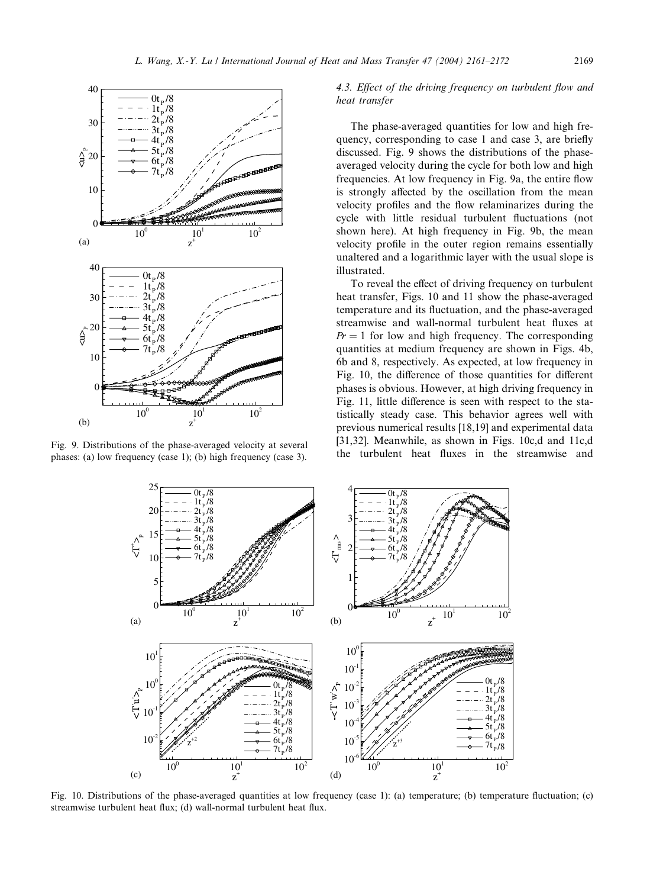

Fig. 9. Distributions of the phase-averaged velocity at several phases: (a) low frequency (case 1); (b) high frequency (case 3).

# 4.3. Effect of the driving frequency on turbulent flow and heat transfer

The phase-averaged quantities for low and high frequency, corresponding to case 1 and case 3, are briefly discussed. Fig. 9 shows the distributions of the phaseaveraged velocity during the cycle for both low and high frequencies. At low frequency in Fig. 9a, the entire flow is strongly affected by the oscillation from the mean velocity profiles and the flow relaminarizes during the cycle with little residual turbulent fluctuations (not shown here). At high frequency in Fig. 9b, the mean velocity profile in the outer region remains essentially unaltered and a logarithmic layer with the usual slope is illustrated.

To reveal the effect of driving frequency on turbulent heat transfer, Figs. 10 and 11 show the phase-averaged temperature and its fluctuation, and the phase-averaged streamwise and wall-normal turbulent heat fluxes at  $Pr = 1$  for low and high frequency. The corresponding quantities at medium frequency are shown in Figs. 4b, 6b and 8, respectively. As expected, at low frequency in Fig. 10, the difference of those quantities for different phases is obvious. However, at high driving frequency in Fig. 11, little difference is seen with respect to the statistically steady case. This behavior agrees well with previous numerical results [18,19] and experimental data [31,32]. Meanwhile, as shown in Figs. 10c,d and 11c,d the turbulent heat fluxes in the streamwise and



Fig. 10. Distributions of the phase-averaged quantities at low frequency (case 1): (a) temperature; (b) temperature fluctuation; (c) streamwise turbulent heat flux; (d) wall-normal turbulent heat flux.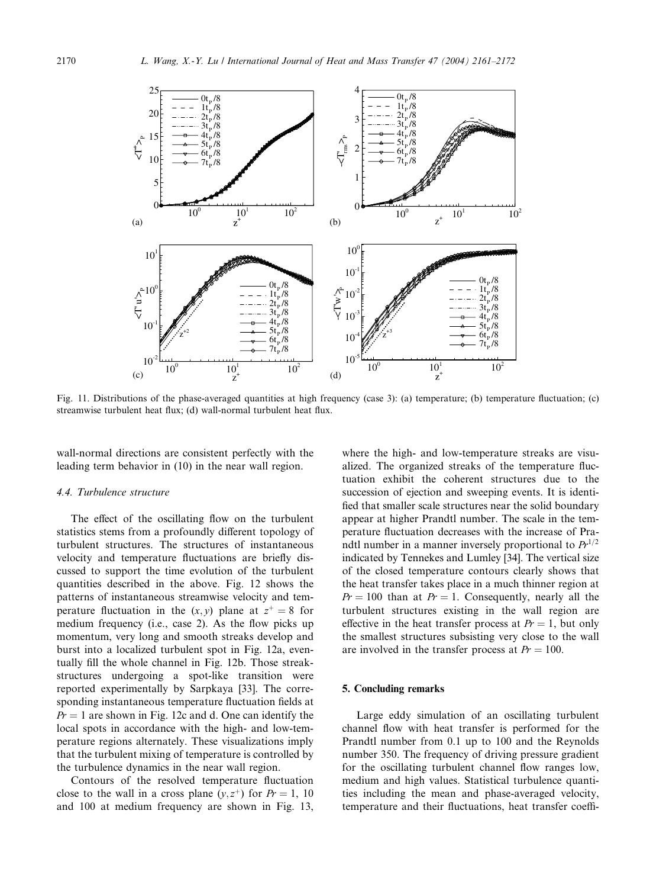

Fig. 11. Distributions of the phase-averaged quantities at high frequency (case 3): (a) temperature; (b) temperature fluctuation; (c) streamwise turbulent heat flux; (d) wall-normal turbulent heat flux.

wall-normal directions are consistent perfectly with the leading term behavior in (10) in the near wall region.

#### 4.4. Turbulence structure

The effect of the oscillating flow on the turbulent statistics stems from a profoundly different topology of turbulent structures. The structures of instantaneous velocity and temperature fluctuations are briefly discussed to support the time evolution of the turbulent quantities described in the above. Fig. 12 shows the patterns of instantaneous streamwise velocity and temperature fluctuation in the  $(x, y)$  plane at  $z^+ = 8$  for medium frequency (i.e., case 2). As the flow picks up momentum, very long and smooth streaks develop and burst into a localized turbulent spot in Fig. 12a, eventually fill the whole channel in Fig. 12b. Those streakstructures undergoing a spot-like transition were reported experimentally by Sarpkaya [33]. The corresponding instantaneous temperature fluctuation fields at  $Pr = 1$  are shown in Fig. 12c and d. One can identify the local spots in accordance with the high- and low-temperature regions alternately. These visualizations imply that the turbulent mixing of temperature is controlled by the turbulence dynamics in the near wall region.

Contours of the resolved temperature fluctuation close to the wall in a cross plane  $(y, z^+)$  for  $Pr = 1$ , 10 and 100 at medium frequency are shown in Fig. 13, where the high- and low-temperature streaks are visualized. The organized streaks of the temperature fluctuation exhibit the coherent structures due to the succession of ejection and sweeping events. It is identified that smaller scale structures near the solid boundary appear at higher Prandtl number. The scale in the temperature fluctuation decreases with the increase of Prandtl number in a manner inversely proportional to  $Pr^{1/2}$ indicated by Tennekes and Lumley [34]. The vertical size of the closed temperature contours clearly shows that the heat transfer takes place in a much thinner region at  $Pr = 100$  than at  $Pr = 1$ . Consequently, nearly all the turbulent structures existing in the wall region are effective in the heat transfer process at  $Pr = 1$ , but only the smallest structures subsisting very close to the wall are involved in the transfer process at  $Pr = 100$ .

# 5. Concluding remarks

Large eddy simulation of an oscillating turbulent channel flow with heat transfer is performed for the Prandtl number from 0.1 up to 100 and the Reynolds number 350. The frequency of driving pressure gradient for the oscillating turbulent channel flow ranges low, medium and high values. Statistical turbulence quantities including the mean and phase-averaged velocity, temperature and their fluctuations, heat transfer coeffi-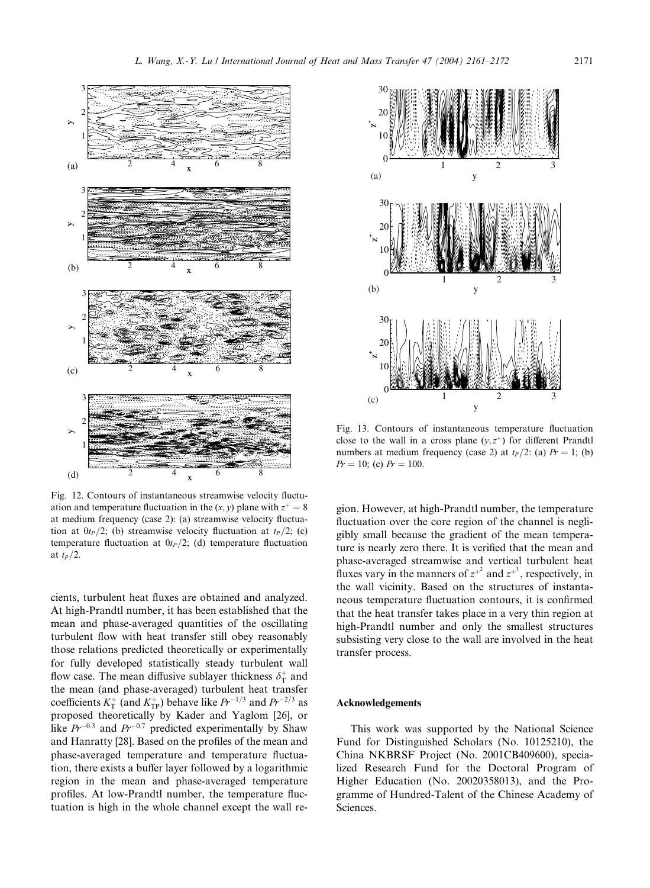

Fig. 12. Contours of instantaneous streamwise velocity fluctuation and temperature fluctuation in the  $(x, y)$  plane with  $z^+ = 8$ at medium frequency (case 2): (a) streamwise velocity fluctuation at  $0t_P/2$ ; (b) streamwise velocity fluctuation at  $t_P/2$ ; (c) temperature fluctuation at  $0t_P/2$ ; (d) temperature fluctuation at  $t_P/2$ .

cients, turbulent heat fluxes are obtained and analyzed. At high-Prandtl number, it has been established that the mean and phase-averaged quantities of the oscillating turbulent flow with heat transfer still obey reasonably those relations predicted theoretically or experimentally for fully developed statistically steady turbulent wall flow case. The mean diffusive sublayer thickness  $\delta_{\rm T}^+$  and the mean (and phase-averaged) turbulent heat transfer coefficients  $K_{\rm T}^+$  (and  $K_{\rm TP}^+$ ) behave like  $Pr^{-1/3}$  and  $Pr^{-2/3}$  as proposed theoretically by Kader and Yaglom [26], or like  $Pr^{-0.3}$  and  $Pr^{-0.7}$  predicted experimentally by Shaw and Hanratty [28]. Based on the profiles of the mean and phase-averaged temperature and temperature fluctuation, there exists a buffer layer followed by a logarithmic region in the mean and phase-averaged temperature profiles. At low-Prandtl number, the temperature fluctuation is high in the whole channel except the wall re-



Fig. 13. Contours of instantaneous temperature fluctuation close to the wall in a cross plane  $(y, z^+)$  for different Prandtl numbers at medium frequency (case 2) at  $t_P/2$ : (a)  $Pr = 1$ ; (b)  $Pr = 10$ ; (c)  $Pr = 100$ .

gion. However, at high-Prandtl number, the temperature fluctuation over the core region of the channel is negligibly small because the gradient of the mean temperature is nearly zero there. It is verified that the mean and phase-averaged streamwise and vertical turbulent heat fluxes vary in the manners of  $z^{+^2}$  and  $z^{+^3}$ , respectively, in the wall vicinity. Based on the structures of instantaneous temperature fluctuation contours, it is confirmed that the heat transfer takes place in a very thin region at high-Prandtl number and only the smallest structures subsisting very close to the wall are involved in the heat transfer process.

#### Acknowledgements

This work was supported by the National Science Fund for Distinguished Scholars (No. 10125210), the China NKBRSF Project (No. 2001CB409600), specialized Research Fund for the Doctoral Program of Higher Education (No. 20020358013), and the Programme of Hundred-Talent of the Chinese Academy of Sciences.